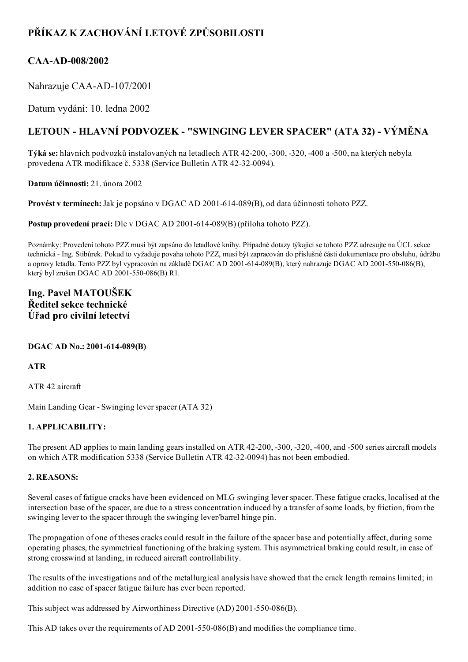# PŘÍKAZ K ZACHOVÁNÍ LETOVÉ ZPŮSOBILOSTI

## CAA-AD-008/2002

Nahrazuje CAA-AD-107/2001

Datum vydání: 10. ledna 2002

# LETOUN - HLAVNÍ PODVOZEK - "SWINGING LEVER SPACER" (ATA 32) - VÝMĚNA

Týká se: hlavních podvozků instalovaných na letadlech ATR 42200, 300, 320, 400 a 500, na kterých nebyla provedena ATR modifikace č. 5338 (Service Bulletin ATR 42-32-0094).

Datum účinnosti: 21. února 2002

Provést v termínech: Jak je popsáno v DGAC AD 2001-614-089(B), od data účinnosti tohoto PZZ.

Postup provedení prací: Dle v DGAC AD 2001-614-089(B) (příloha tohoto PZZ).

Poznámky: Provedení tohoto PZZ musí být zapsáno do letadlové knihy. Případné dotazy týkající se tohoto PZZ adresujte na ÚCL sekce technická Ing. Stibůrek. Pokud to vyžaduje povaha tohoto PZZ, musí být zapracován do příslušné části dokumentace pro obsluhu, údržbu a opravy letadla. Tento PZZ byl vypracován na základě DGAC AD 2001-614-089(B), který nahrazuje DGAC AD 2001-550-086(B), který byl zrušen DGAC AD 2001-550-086(B) R1.

## Ing. Pavel MATOUŠEK Ředitel sekce technické Úřad pro civilní letectví

## DGAC AD No.: 2001-614-089(B)

ATR

ATR 42 aircraft

Main Landing Gear - Swinging lever spacer (ATA 32)

## 1. APPLICABILITY:

The present AD applies to main landing gears installed on ATR 42-200, -300, -320, -400, and -500 series aircraft models on which ATR modification 5338 (Service Bulletin ATR 42-32-0094) has not been embodied.

### 2. REASONS:

Several cases of fatigue cracks have been evidenced on MLG swinging leverspacer. These fatigue cracks, localised at the intersection base of the spacer, are due to a stress concentration induced by a transfer ofsome loads, by friction, from the swinging lever to the spacer through the swinging lever/barrel hinge pin.

The propagation of one of theses cracks could result in the failure of the spacer base and potentially affect, during some operating phases, the symmetrical functioning of the braking system. This asymmetrical braking could result, in case of strong crosswind at landing, in reduced aircraft controllability.

The results of the investigations and of the metallurgical analysis have showed that the crack length remains limited; in addition no case of spacer fatigue failure has ever been reported.

This subject was addressed by Airworthiness Directive (AD) 2001-550-086(B).

This AD takes over the requirements of AD 2001-550-086(B) and modifies the compliance time.